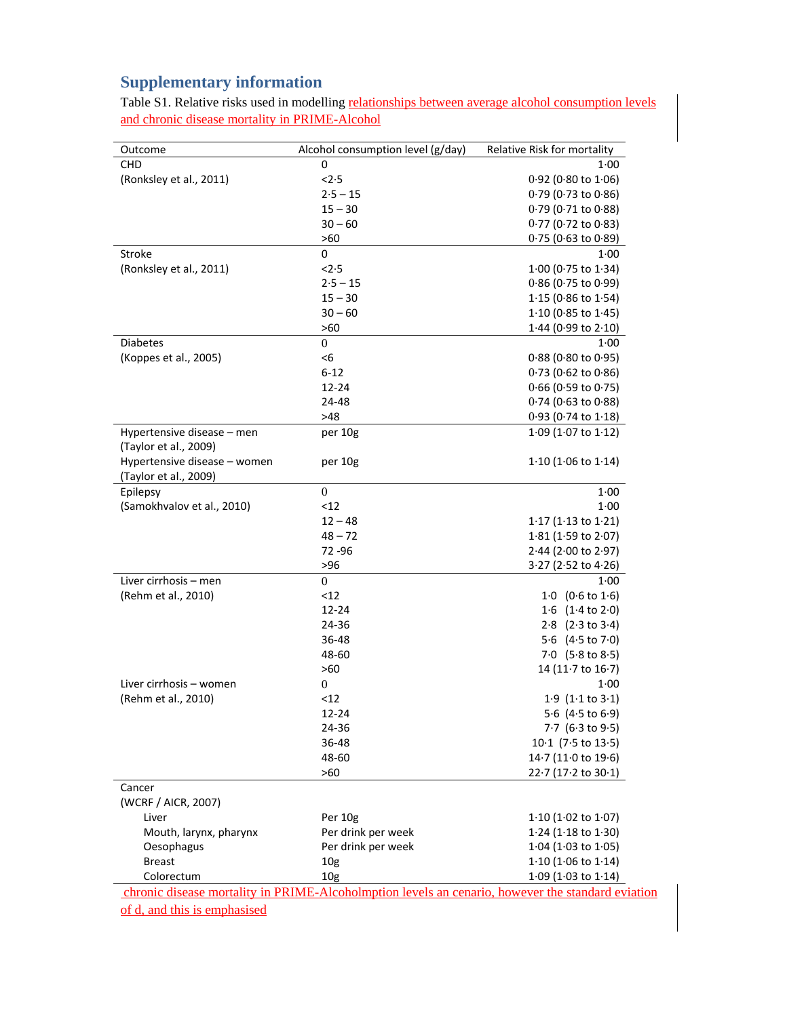## **Supplementary information**

Table S1. Relative risks used in modelling relationships between average alcohol consumption levels and chronic disease mortality in PRIME-Alcohol

| Outcome                       | Alcohol consumption level (g/day)                                                                 | Relative Risk for mortality       |
|-------------------------------|---------------------------------------------------------------------------------------------------|-----------------------------------|
| <b>CHD</b>                    | 0                                                                                                 | $1 - 00$                          |
| (Ronksley et al., 2011)       | < 2.5                                                                                             | $0.92$ (0.80 to 1.06)             |
|                               | $2.5 - 15$                                                                                        | $0.79$ (0.73 to 0.86)             |
|                               | $15 - 30$                                                                                         | $0.79$ (0.71 to $0.88$ )          |
|                               | $30 - 60$                                                                                         | $0.77$ (0.72 to 0.83)             |
|                               | >60                                                                                               | $0.75$ (0.63 to 0.89)             |
| Stroke                        | 0                                                                                                 | $1 - 00$                          |
| (Ronksley et al., 2011)       | < 2.5                                                                                             | $1.00$ (0.75 to $1.34$ )          |
|                               | $2.5 - 15$                                                                                        | $0.86$ (0.75 to 0.99)             |
|                               | $15 - 30$                                                                                         | $1.15$ (0.86 to $1.54$ )          |
|                               | $30 - 60$                                                                                         | $1.10$ (0.85 to $1.45$ )          |
|                               | >60                                                                                               | $1.44$ (0.99 to 2.10)             |
| <b>Diabetes</b>               | $\boldsymbol{0}$                                                                                  | 1:00                              |
| (Koppes et al., 2005)         | <6                                                                                                | $0.88$ (0.80 to 0.95)             |
|                               | $6 - 12$                                                                                          | $0.73$ (0.62 to 0.86)             |
|                               | 12-24                                                                                             | $0.66$ (0.59 to 0.75)             |
|                               | 24-48                                                                                             | $0.74$ (0.63 to $0.88$ )          |
|                               | >48                                                                                               | $0.93$ (0.74 to 1.18)             |
| Hypertensive disease - men    | per 10g                                                                                           | $1.09$ (1.07 to $1.12$ )          |
| (Taylor et al., 2009)         |                                                                                                   |                                   |
| Hypertensive disease - women  | per 10g                                                                                           | $1.10$ (1.06 to $1.14$ )          |
| (Taylor et al., 2009)         |                                                                                                   |                                   |
| Epilepsy                      | $\mathbf{0}$                                                                                      | 1.00                              |
| (Samokhvalov et al., 2010)    | <12                                                                                               | 1.00                              |
|                               | $12 - 48$                                                                                         | $1.17$ (1.13 to 1.21)             |
|                               | $48 - 72$                                                                                         | $1.81$ (1.59 to 2.07)             |
|                               | 72 - 96                                                                                           | $2.44$ (2.00 to 2.97)             |
|                               | >96                                                                                               | $3.27$ (2.52 to 4.26)             |
| Liver cirrhosis - men         | $\overline{0}$                                                                                    | 1.00                              |
| (Rehm et al., 2010)           | <12                                                                                               | $1.0$ (0.6 to $1.6$ )             |
|                               | 12-24                                                                                             | 1.6 $(1.4 \text{ to } 2.0)$       |
|                               | 24-36                                                                                             | $2.8$ $(2.3 \text{ to } 3.4)$     |
|                               | 36-48                                                                                             | 5.6 $(4.5 \text{ to } 7.0)$       |
|                               | 48-60                                                                                             | 7.0 $(5.8 \text{ to } 8.5)$       |
|                               | >60                                                                                               | 14 (11 $\cdot$ 7 to 16 $\cdot$ 7) |
| Liver cirrhosis – women       | 0                                                                                                 | $1 - 00$                          |
| (Rehm et al., 2010)           | <12                                                                                               | $1.9$ (1.1 to $3.1$ )             |
|                               | 12-24                                                                                             | 5.6 (4.5 to 6.9)                  |
|                               |                                                                                                   | $7.7$ (6.3 to 9.5)                |
|                               | 24-36<br>36-48                                                                                    | $10.1$ (7.5 to 13.5)              |
|                               | 48-60                                                                                             |                                   |
|                               |                                                                                                   | $14.7(11.0 \text{ to } 19.6)$     |
|                               | >60                                                                                               | $22.7(17.2 \text{ to } 30.1)$     |
| Cancer<br>(WCRF / AICR, 2007) |                                                                                                   |                                   |
| Liver                         | Per 10g                                                                                           | $1.10$ (1.02 to 1.07)             |
| Mouth, larynx, pharynx        | Per drink per week                                                                                | $1.24$ (1.18 to 1.30)             |
| Oesophagus                    | Per drink per week                                                                                | $1.04$ (1.03 to 1.05)             |
| <b>Breast</b>                 |                                                                                                   | $1.10$ (1.06 to $1.14$ )          |
| Colorectum                    | 10 <sub>g</sub>                                                                                   |                                   |
|                               | 10 <sub>g</sub>                                                                                   | $1.09$ (1.03 to 1.14)             |
|                               | chronic disease mortality in PRIME-Alcoholmption levels an cenario, however the standard eviation |                                   |

of d, and this is emphasised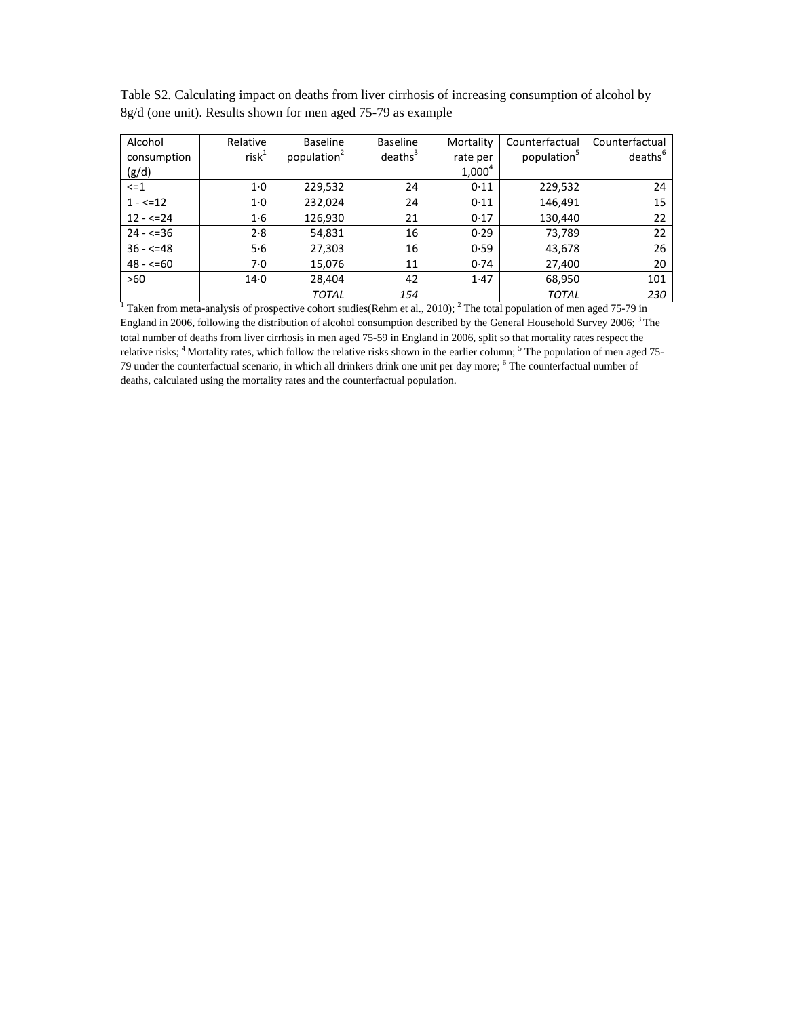|                                                                |  |  | Table S2. Calculating impact on deaths from liver cirrhosis of increasing consumption of alcohol by |  |
|----------------------------------------------------------------|--|--|-----------------------------------------------------------------------------------------------------|--|
| $8g/d$ (one unit). Results shown for men aged 75-79 as example |  |  |                                                                                                     |  |

| Alcohol                                                                                                                            | Relative | Baseline                | Baseline            | Mortality | Counterfactual          | Counterfactual      |
|------------------------------------------------------------------------------------------------------------------------------------|----------|-------------------------|---------------------|-----------|-------------------------|---------------------|
| consumption                                                                                                                        | $risk^1$ | population <sup>2</sup> | deaths <sup>3</sup> | rate per  | population <sup>5</sup> | deaths <sup>b</sup> |
| (g/d)                                                                                                                              |          |                         |                     | $1,000^4$ |                         |                     |
| $\leq$ $=$ 1                                                                                                                       | 1·0      | 229,532                 | 24                  | 0.11      | 229,532                 | 24                  |
| $1 - 5 = 12$                                                                                                                       | 1·0      | 232,024                 | 24                  | 0.11      | 146,491                 | 15                  |
| $12 - 5 = 24$                                                                                                                      | 1·6      | 126,930                 | 21                  | 0.17      | 130,440                 | 22                  |
| $24 - 536$                                                                                                                         | 2.8      | 54,831                  | 16                  | 0.29      | 73,789                  | 22                  |
| $36 - 548$                                                                                                                         | 5·6      | 27,303                  | 16                  | 0.59      | 43,678                  | 26                  |
| $48 - 50$                                                                                                                          | 7.0      | 15,076                  | 11                  | 0.74      | 27,400                  | 20                  |
| >60                                                                                                                                | $14-0$   | 28,404                  | 42                  | 1.47      | 68,950                  | 101                 |
|                                                                                                                                    |          | TOTAL                   | 154                 |           | <b>TOTAL</b>            | 230                 |
| Taken from meta-analysis of prospective cohort studies (Rehm et al., 2010); <sup>2</sup> The total population of men aged 75-79 in |          |                         |                     |           |                         |                     |

England in 2006, following the distribution of alcohol consumption described by the General Household Survey 2006; 3 The total number of deaths from liver cirrhosis in men aged 75-59 in England in 2006, split so that mortality rates respect the relative risks; <sup>4</sup> Mortality rates, which follow the relative risks shown in the earlier column; <sup>5</sup> The population of men aged 75-79 under the counterfactual scenario, in which all drinkers drink one unit per day more; <sup>6</sup> The counterfactual number of deaths, calculated using the mortality rates and the counterfactual population.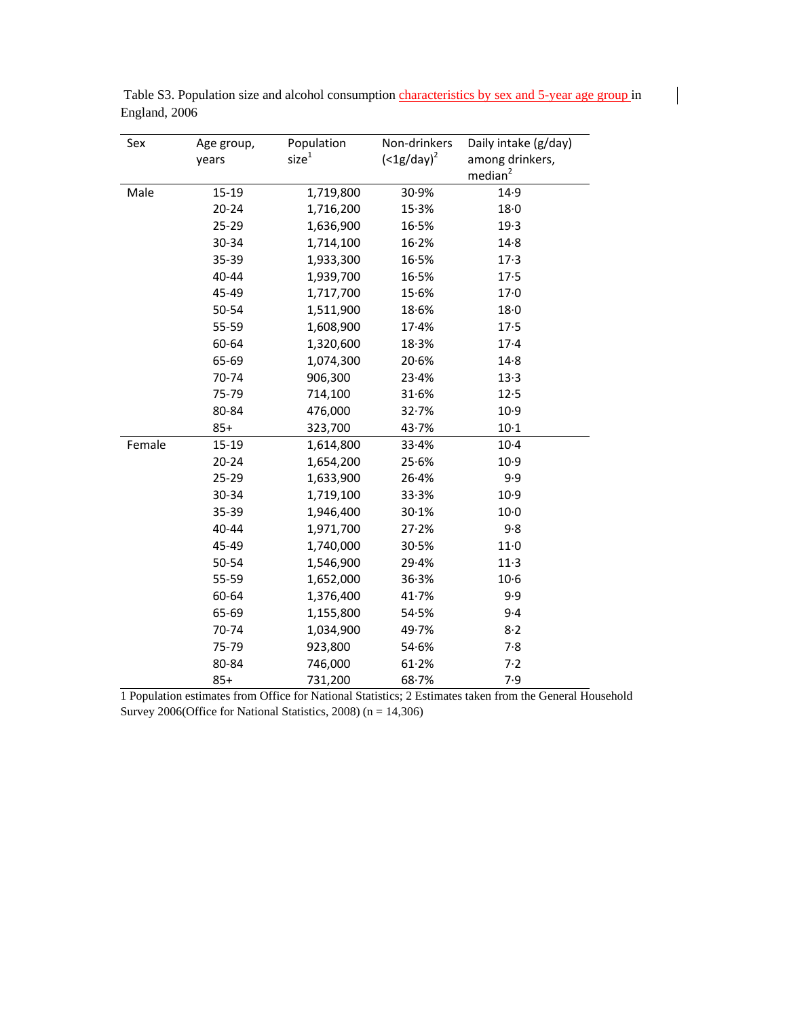| Sex    | Age group, | Population        | Non-drinkers | Daily intake (g/day) |
|--------|------------|-------------------|--------------|----------------------|
|        | years      | size <sup>1</sup> | $(1g/day)2$  | among drinkers,      |
|        |            |                   |              | median <sup>2</sup>  |
| Male   | $15 - 19$  | 1,719,800         | 30.9%        | 14.9                 |
|        | $20 - 24$  | 1,716,200         | 15.3%        | 18 <sub>0</sub>      |
|        | 25-29      | 1,636,900         | 16.5%        | 19.3                 |
|        | 30-34      | 1,714,100         | 16.2%        | 14.8                 |
|        | 35-39      | 1,933,300         | 16.5%        | 17.3                 |
|        | 40-44      | 1,939,700         | 16.5%        | 17.5                 |
|        | 45-49      | 1,717,700         | 15.6%        | 17·0                 |
|        | 50-54      | 1,511,900         | 18.6%        | 18·0                 |
|        | 55-59      | 1,608,900         | 17.4%        | 17.5                 |
|        | 60-64      | 1,320,600         | 18.3%        | $17-4$               |
|        | 65-69      | 1,074,300         | 20.6%        | $14-8$               |
|        | 70-74      | 906,300           | 23.4%        | 13.3                 |
|        | 75-79      | 714,100           | 31.6%        | 12.5                 |
|        | 80-84      | 476,000           | 32.7%        | 10.9                 |
|        | $85+$      | 323,700           | 43.7%        | $10-1$               |
| Female | 15-19      | 1,614,800         | 33.4%        | $10-4$               |
|        | $20 - 24$  | 1,654,200         | 25.6%        | 10.9                 |
|        | $25 - 29$  | 1,633,900         | 26.4%        | 9.9                  |
|        | 30-34      | 1,719,100         | 33.3%        | 10.9                 |
|        | 35-39      | 1,946,400         | 30.1%        | $10-0$               |
|        | 40-44      | 1,971,700         | 27.2%        | 9.8                  |
|        | 45-49      | 1,740,000         | 30.5%        | $11-0$               |
|        | 50-54      | 1,546,900         | 29.4%        | $11-3$               |
|        | 55-59      | 1,652,000         | 36.3%        | $10-6$               |
|        | 60-64      | 1,376,400         | 41.7%        | 9.9                  |
|        | 65-69      | 1,155,800         | 54.5%        | 9.4                  |
|        | 70-74      | 1,034,900         | 49.7%        | 8.2                  |
|        | 75-79      | 923,800           | 54.6%        | 7.8                  |
|        | 80-84      | 746,000           | 61.2%        | 7.2                  |
|        | $85+$      | 731,200           | 68.7%        | 7.9                  |

Table S3. Population size and alcohol consumption *characteristics by sex and 5-year age group* in England, 2006

1 Population estimates from Office for National Statistics; 2 Estimates taken from the General Household Survey 2006(Office for National Statistics, 2008) (n = 14,306)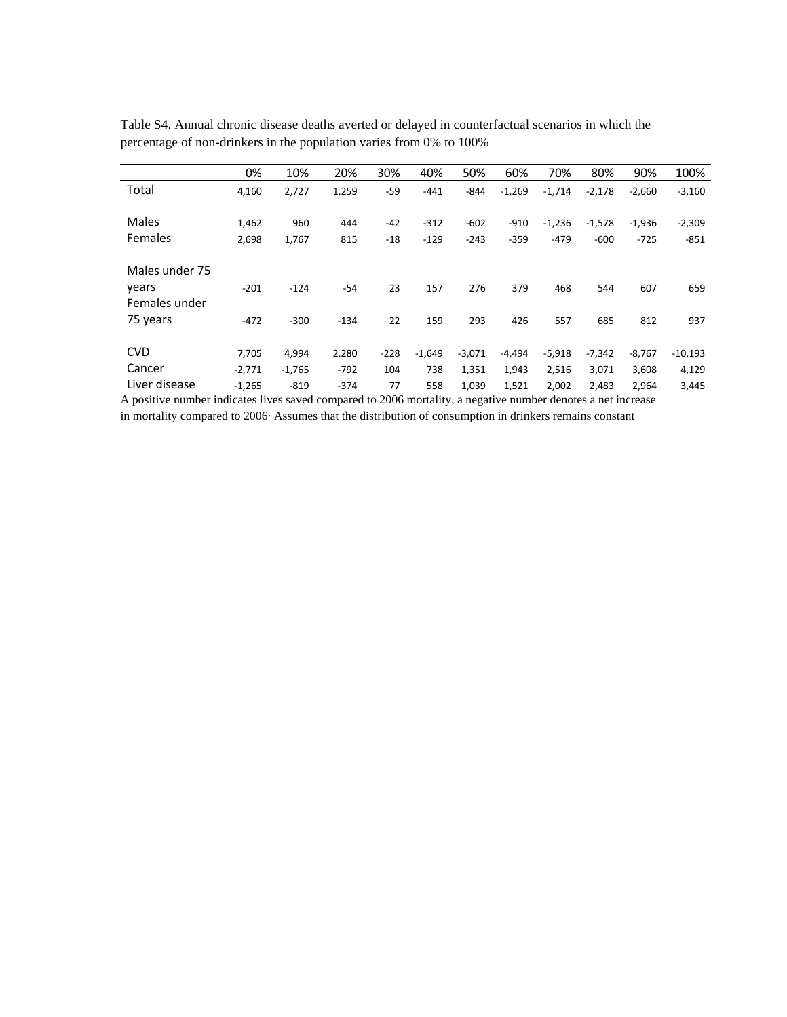| $-2,660$<br>$-3,160$  |
|-----------------------|
|                       |
|                       |
| $-2,309$<br>$-1,936$  |
| $-725$<br>$-851$      |
|                       |
|                       |
| 607<br>659            |
|                       |
| 812<br>937            |
|                       |
| $-8,767$<br>$-10,193$ |
| 4,129<br>3,608        |
| 2,964<br>3,445        |
|                       |

Table S4. Annual chronic disease deaths averted or delayed in counterfactual scenarios in which the percentage of non-drinkers in the population varies from 0% to 100%

A positive number indicates lives saved compared to 2006 mortality, a negative number denotes a net increase in mortality compared to 2006· Assumes that the distribution of consumption in drinkers remains constant